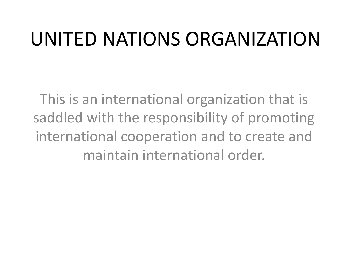#### UNITED NATIONS ORGANIZATION

This is an international organization that is saddled with the responsibility of promoting international cooperation and to create and maintain international order.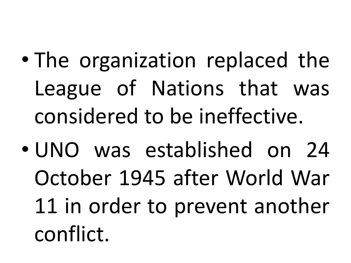- The organization replaced the League of Nations that was considered to be ineffective.
- UNO was established on 24 October 1945 after World War 11 in order to prevent another conflict.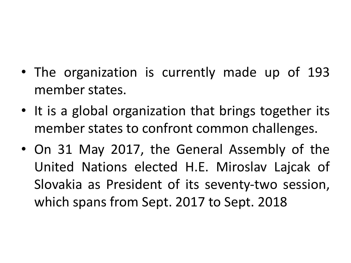- The organization is currently made up of 193 member states.
- It is a global organization that brings together its member states to confront common challenges.
- On 31 May 2017, the General Assembly of the United Nations elected H.E. Miroslav Lajcak of Slovakia as President of its seventy-two session, which spans from Sept. 2017 to Sept. 2018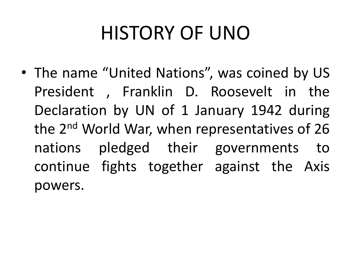# HISTORY OF UNO

• The name "United Nations", was coined by US President , Franklin D. Roosevelt in the Declaration by UN of 1 January 1942 during the 2<sup>nd</sup> World War, when representatives of 26 nations pledged their governments to continue fights together against the Axis powers.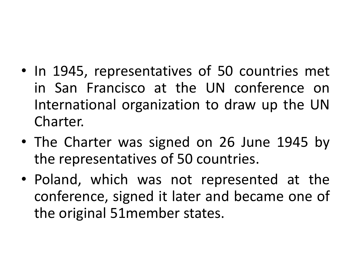- In 1945, representatives of 50 countries met in San Francisco at the UN conference on International organization to draw up the UN Charter.
- The Charter was signed on 26 June 1945 by the representatives of 50 countries.
- Poland, which was not represented at the conference, signed it later and became one of the original 51member states.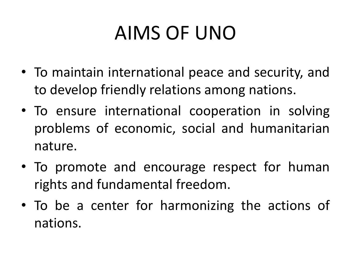# AIMS OF UNO

- To maintain international peace and security, and to develop friendly relations among nations.
- To ensure international cooperation in solving problems of economic, social and humanitarian nature.
- To promote and encourage respect for human rights and fundamental freedom.
- To be a center for harmonizing the actions of nations.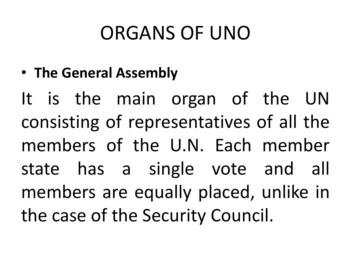### ORGANS OF UNO

• **The General Assembly**

It is the main organ of the UN consisting of representatives of all the members of the U.N. Each member state has a single vote and all members are equally placed, unlike in the case of the Security Council.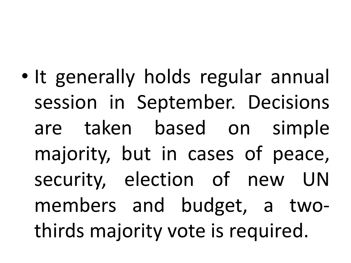• It generally holds regular annual session in September. Decisions are taken based on simple majority, but in cases of peace, security, election of new UN members and budget, a twothirds majority vote is required.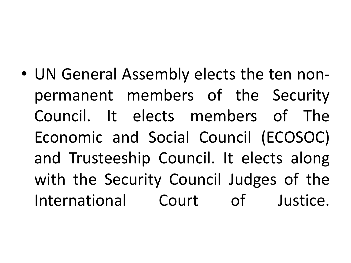• UN General Assembly elects the ten nonpermanent members of the Security Council. It elects members of The Economic and Social Council (ECOSOC) and Trusteeship Council. It elects along with the Security Council Judges of the International Court of Justice.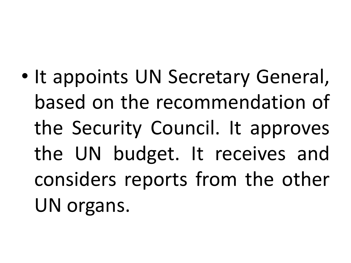• It appoints UN Secretary General, based on the recommendation of the Security Council. It approves the UN budget. It receives and considers reports from the other UN organs.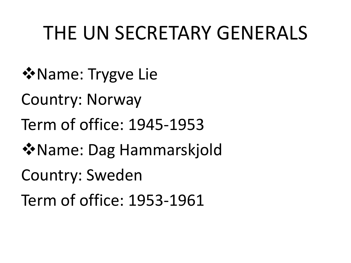#### THE UN SECRETARY GENERALS

- **V**Name: Trygve Lie
- Country: Norway
- Term of office: 1945-1953
- **V**Name: Dag Hammarskjold
- Country: Sweden
- Term of office: 1953-1961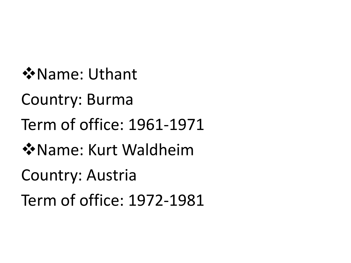vName: Uthant

Country: Burma

Term of office: 1961-1971

vName: Kurt Waldheim

Country: Austria

Term of office: 1972-1981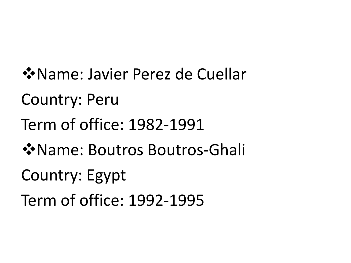vName: Javier Perez de Cuellar Country: Peru Term of office: 1982-1991 **V**Name: Boutros Boutros-Ghali Country: Egypt Term of office: 1992-1995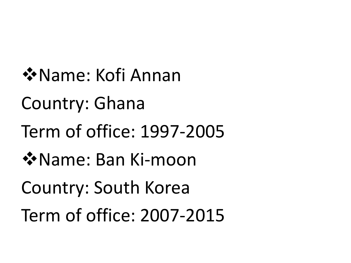❖ Name: Kofi Annan Country: Ghana Term of office: 1997-2005 **☆Name: Ban Ki-moon** Country: South Korea Term of office: 2007-2015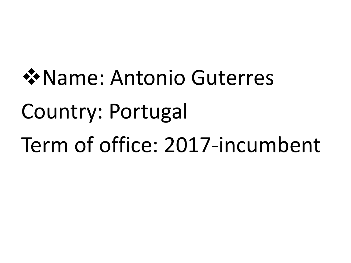# **V**Name: Antonio Guterres Country: Portugal Term of office: 2017-incumbent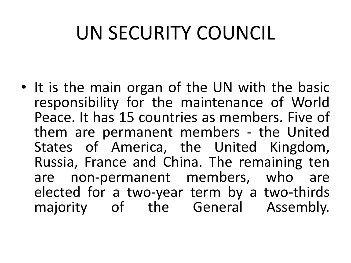# UN SECURITY COUNCIL

• It is the main organ of the UN with the basic responsibility for the maintenance of World Peace. It has 15 countries as members. Five of them are permanent members - the United States of America, the United Kingdom, Russia, France and China. The remaining ten are non-permanent members, who are elected for a two-year term by a two-thirds majority of the General Assembly.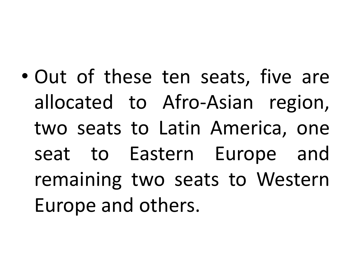• Out of these ten seats, five are allocated to Afro-Asian region, two seats to Latin America, one seat to Eastern Europe and remaining two seats to Western Europe and others.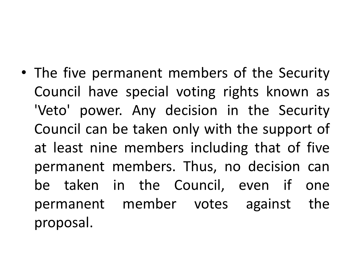• The five permanent members of the Security Council have special voting rights known as 'Veto' power. Any decision in the Security Council can be taken only with the support of at least nine members including that of five permanent members. Thus, no decision can be taken in the Council, even if one permanent member votes against the proposal.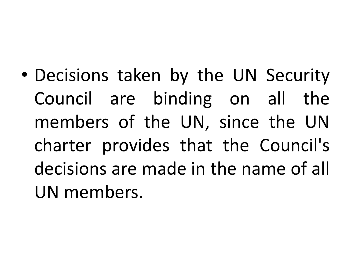• Decisions taken by the UN Security Council are binding on all the members of the UN, since the UN charter provides that the Council's decisions are made in the name of all UN members.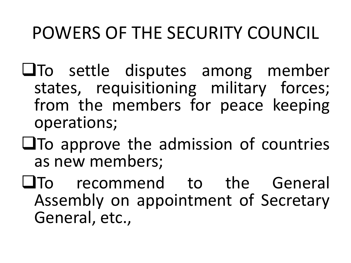#### POWERS OF THE SECURITY COUNCIL

- $\Box$ To settle disputes among member states, requisitioning military forces; from the members for peace keeping operations;
- $\Box$ To approve the admission of countries as new members;
- $\square$  To recommend to the General Assembly on appointment of Secretary General, etc.,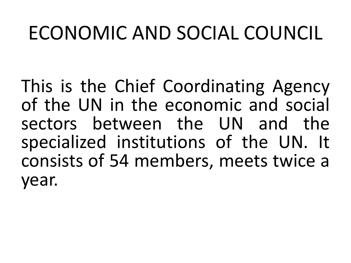#### ECONOMIC AND SOCIAL COUNCIL

This is the Chief Coordinating Agency of the UN in the economic and social sectors between the UN and the specialized institutions of the UN. It consists of 54 members, meets twice a year.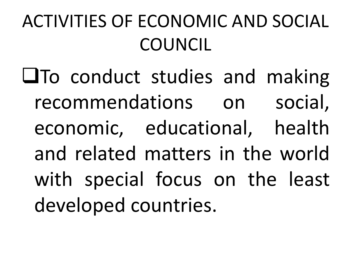### ACTIVITIES OF ECONOMIC AND SOCIAL COUNCIL

**QTo conduct studies and making** recommendations on social, economic, educational, health and related matters in the world with special focus on the least developed countries.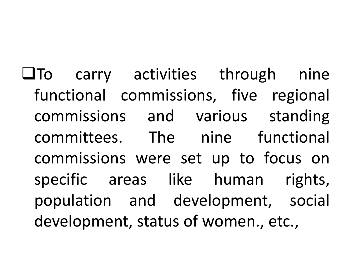$\Box$ To carry activities through nine functional commissions, five regional commissions and various standing committees. The nine functional commissions were set up to focus on specific areas like human rights, population and development, social development, status of women., etc.,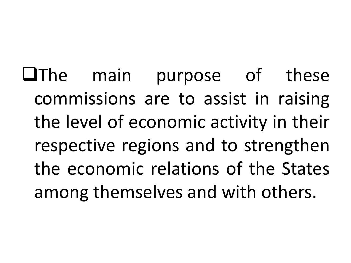UThe main purpose of these commissions are to assist in raising the level of economic activity in their respective regions and to strengthen the economic relations of the States among themselves and with others.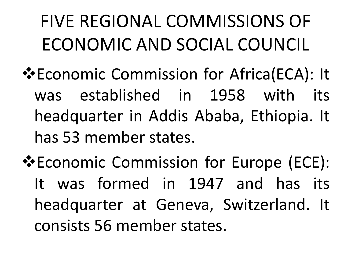## FIVE REGIONAL COMMISSIONS OF ECONOMIC AND SOCIAL COUNCIL

- **V** Economic Commission for Africa(ECA): It was established in 1958 with its headquarter in Addis Ababa, Ethiopia. It has 53 member states.
- **V**Economic Commission for Europe (ECE): It was formed in 1947 and has its headquarter at Geneva, Switzerland. It consists 56 member states.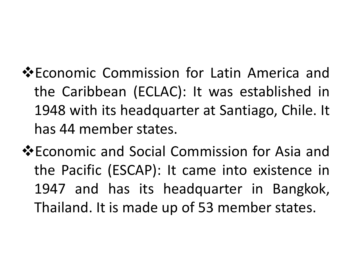- **V**Economic Commission for Latin America and the Caribbean (ECLAC): It was established in 1948 with its headquarter at Santiago, Chile. It has 44 member states.
- **V**Economic and Social Commission for Asia and the Pacific (ESCAP): It came into existence in 1947 and has its headquarter in Bangkok, Thailand. It is made up of 53 member states.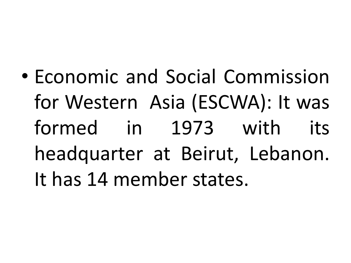• Economic and Social Commission for Western Asia (ESCWA): It was formed in 1973 with its headquarter at Beirut, Lebanon. It has 14 member states.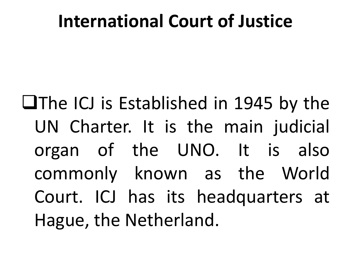#### **International Court of Justice**

 $\Box$ The ICJ is Established in 1945 by the UN Charter. It is the main judicial organ of the UNO. It is also commonly known as the World Court. ICJ has its headquarters at Hague, the Netherland.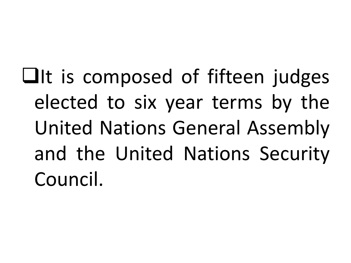$\Box$ It is composed of fifteen judges elected to six year terms by the United Nations General Assembly and the United Nations Security Council.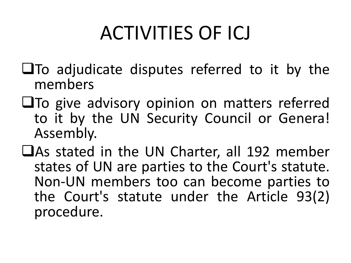# ACTIVITIES OF ICJ

- $\Box$ To adjudicate disputes referred to it by the members
- $\square$ To give advisory opinion on matters referred to it by the UN Security Council or Genera! Assembly.
- $\Box$ As stated in the UN Charter, all 192 member states of UN are parties to the Court's statute. Non-UN members too can become parties to the Court's statute under the Article 93(2) procedure.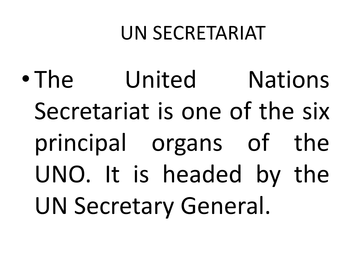#### UN SECRETARIAT

• The United Nations Secretariat is one of the six principal organs of the UNO. It is headed by the UN Secretary General.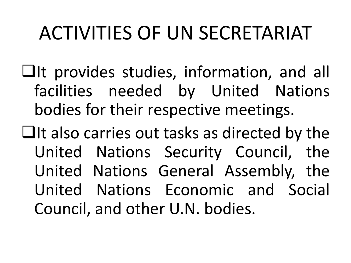# ACTIVITIES OF UN SECRETARIAT

- $\Box$ It provides studies, information, and all facilities needed by United Nations bodies for their respective meetings.
- $\Box$ It also carries out tasks as directed by the United Nations Security Council, the United Nations General Assembly, the United Nations Economic and Social Council, and other U.N. bodies.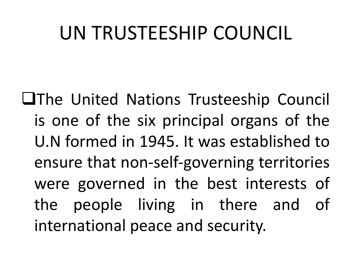#### UN TRUSTEESHIP COUNCIL

**QThe United Nations Trusteeship Council** is one of the six principal organs of the U.N formed in 1945. It was established to ensure that non-self-governing territories were governed in the best interests of the people living in there and of international peace and security.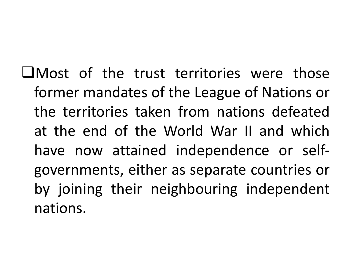$\Box$ Most of the trust territories were those former mandates of the League of Nations or the territories taken from nations defeated at the end of the World War II and which have now attained independence or selfgovernments, either as separate countries or by joining their neighbouring independent nations.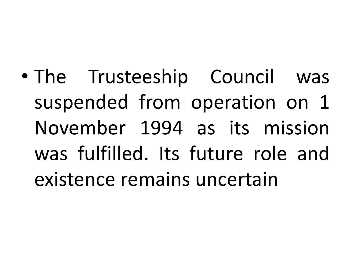• The Trusteeship Council was suspended from operation on 1 November 1994 as its mission was fulfilled. Its future role and existence remains uncertain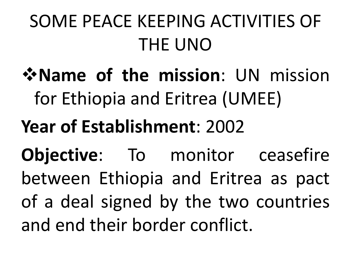# SOME PEACE KEEPING ACTIVITIES OF THE UNO

- $\mathbf{\hat{v}}$  **Name** of the mission: UN mission for Ethiopia and Eritrea (UMEE)
- **Year of Establishment**: 2002

**Objective**: To monitor ceasefire between Ethiopia and Eritrea as pact of a deal signed by the two countries and end their border conflict.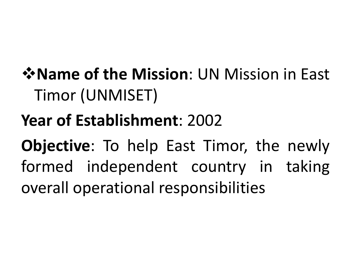#### *<u>\** Name of the Mission: UN Mission in East.</u> Timor (UNMISET)

#### **Year of Establishment**: 2002

**Objective**: To help East Timor, the newly formed independent country in taking overall operational responsibilities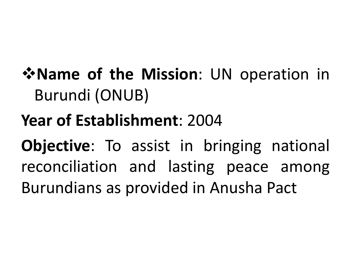#### $\mathbf{\hat{P}}$  **Name of the Mission**: UN operation in Burundi (ONUB)

#### **Year of Establishment**: 2004

**Objective**: To assist in bringing national reconciliation and lasting peace among Burundians as provided in Anusha Pact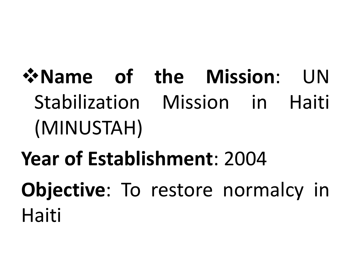# $\mathbf{\hat{v}}$  **Name** of the Mission: UN Stabilization Mission in Haiti (MINUSTAH)

# **Year of Establishment**: 2004 **Objective**: To restore normalcy in Haiti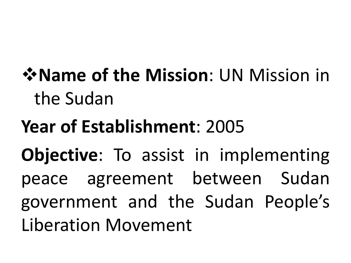## $\mathbf{\hat{v}}$  **Name of the Mission**: UN Mission in the Sudan

## **Year of Establishment**: 2005 **Objective**: To assist in implementing peace agreement between Sudan government and the Sudan People's Liberation Movement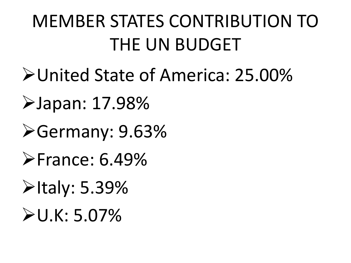## MEMBER STATES CONTRIBUTION TO THE UN BUDGET

- ØUnited State of America: 25.00%
- ØJapan: 17.98%
- ØGermany: 9.63%
- $\blacktriangleright$ France: 6.49%
- **≻Italy: 5.39%**
- $U.K: 5.07%$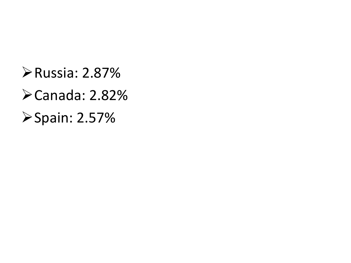ØRussia: 2.87%  $\blacktriangleright$  Canada: 2.82% ØSpain: 2.57%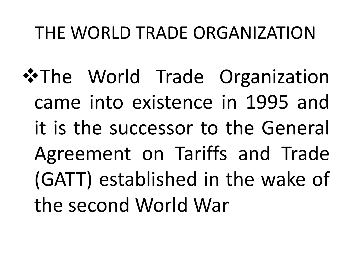#### THE WORLD TRADE ORGANIZATION

\*The World Trade Organization came into existence in 1995 and it is the successor to the General Agreement on Tariffs and Trade (GATT) established in the wake of the second World War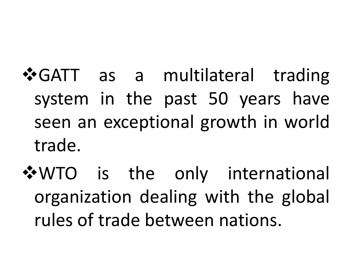- **VGATT** as a multilateral trading system in the past 50 years have seen an exceptional growth in world trade.
- \*WTO is the only international organization dealing with the global rules of trade between nations.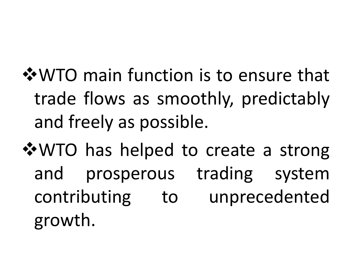**V**WTO main function is to ensure that trade flows as smoothly, predictably and freely as possible.

**V**WTO has helped to create a strong and prosperous trading system contributing to unprecedented growth.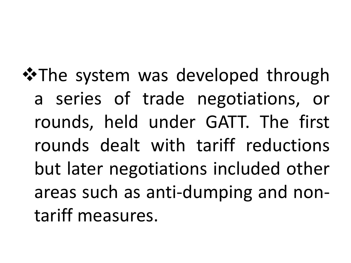**\*The system was developed through** a series of trade negotiations, or rounds, held under GATT. The first rounds dealt with tariff reductions but later negotiations included other areas such as anti-dumping and nontariff measures.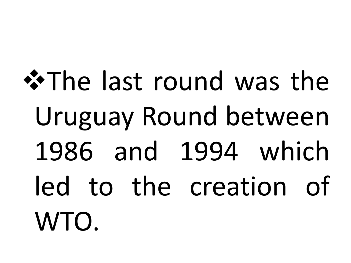\*The last round was the Uruguay Round between 1986 and 1994 which led to the creation of WTO.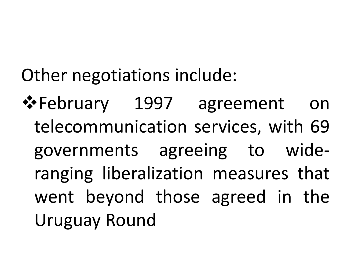Other negotiations include:

❖February 1997 agreement on telecommunication services, with 69 governments agreeing to wideranging liberalization measures that went beyond those agreed in the Uruguay Round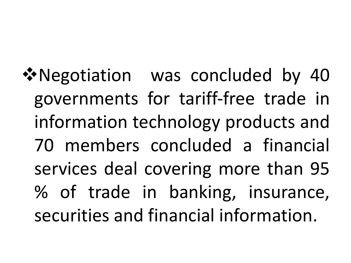**V**•Negotiation was concluded by 40 governments for tariff-free trade in information technology products and 70 members concluded a financial services deal covering more than 95 % of trade in banking, insurance, securities and financial information.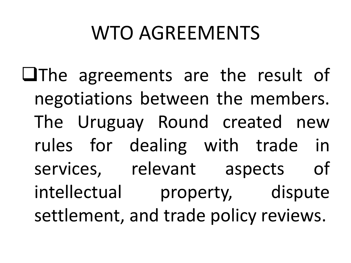## WTO AGREEMENTS

 $\Box$ The agreements are the result of negotiations between the members. The Uruguay Round created new rules for dealing with trade in services, relevant aspects of intellectual property, dispute settlement, and trade policy reviews.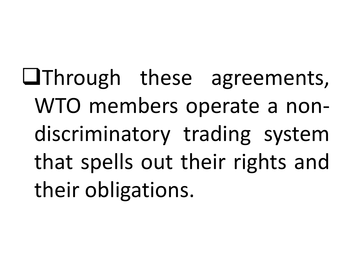**QThrough these agreements,** WTO members operate a nondiscriminatory trading system that spells out their rights and their obligations.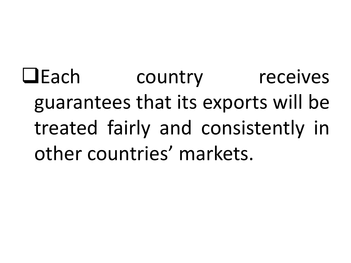**QEach** country receives guarantees that its exports will be treated fairly and consistently in other countries' markets.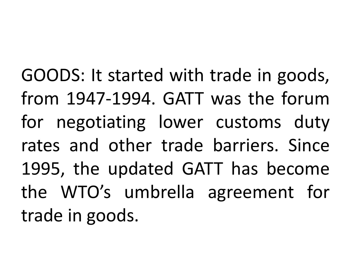GOODS: It started with trade in goods, from 1947-1994. GATT was the forum for negotiating lower customs duty rates and other trade barriers. Since 1995, the updated GATT has become the WTO's umbrella agreement for trade in goods.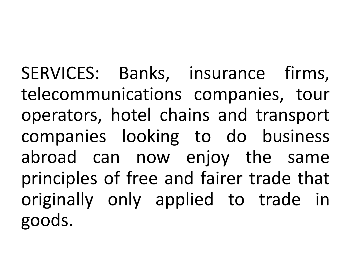SERVICES: Banks, insurance firms, telecommunications companies, tour operators, hotel chains and transport companies looking to do business abroad can now enjoy the same principles of free and fairer trade that originally only applied to trade in goods.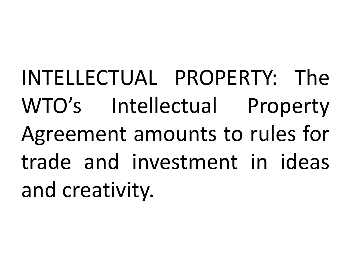INTELLECTUAL PROPERTY: The WTO's Intellectual Property Agreement amounts to rules for trade and investment in ideas and creativity.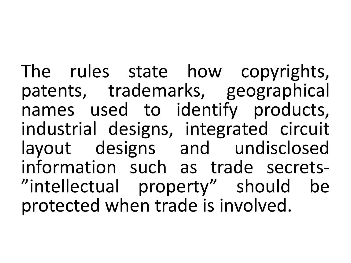The rules state how copyrights, patents, trademarks, geographical names used to identify products, industrial designs, integrated circuit layout designs and undisclosed<br>information such as trade secrets-"intellectual property" should be protected when trade is involved.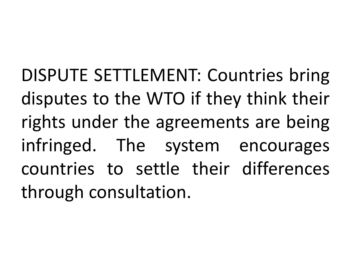DISPUTE SETTLEMENT: Countries bring disputes to the WTO if they think their rights under the agreements are being infringed. The system encourages countries to settle their differences through consultation.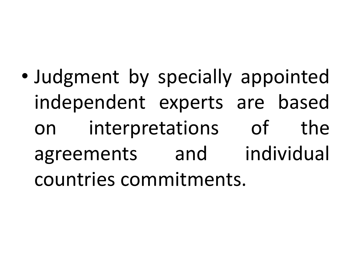• Judgment by specially appointed independent experts are based on interpretations of the agreements and individual countries commitments.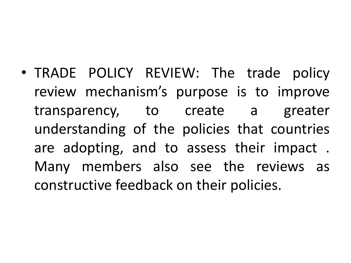• TRADE POLICY REVIEW: The trade policy review mechanism's purpose is to improve transparency, to create a greater understanding of the policies that countries are adopting, and to assess their impact . Many members also see the reviews as constructive feedback on their policies.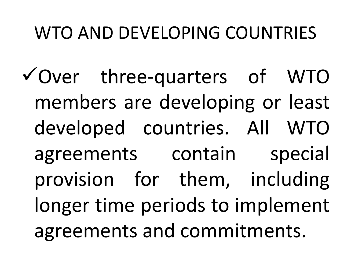#### WTO AND DEVELOPING COUNTRIES

 $\checkmark$  Over three-quarters of WTO members are developing or least developed countries. All WTO agreements contain special provision for them, including longer time periods to implement agreements and commitments.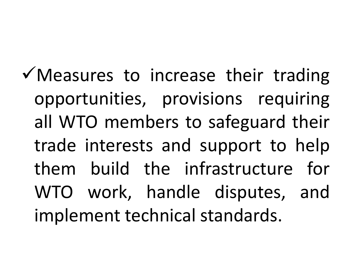$\checkmark$  Measures to increase their trading opportunities, provisions requiring all WTO members to safeguard their trade interests and support to help them build the infrastructure for WTO work, handle disputes, and implement technical standards.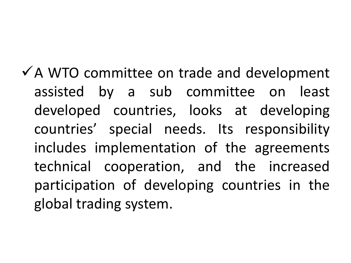$\checkmark$  A WTO committee on trade and development assisted by a sub committee on least developed countries, looks at developing countries' special needs. Its responsibility includes implementation of the agreements technical cooperation, and the increased participation of developing countries in the global trading system.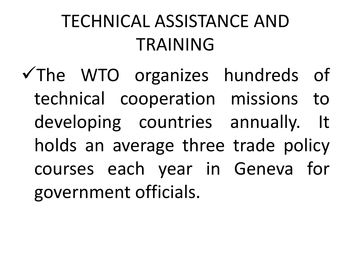### TECHNICAL ASSISTANCE AND TRAINING

 $\checkmark$  The WTO organizes hundreds of technical cooperation missions to developing countries annually. It holds an average three trade policy courses each year in Geneva for government officials.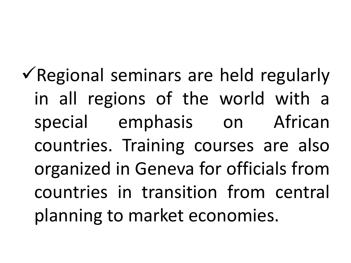$\checkmark$  Regional seminars are held regularly in all regions of the world with a special emphasis on African countries. Training courses are also organized in Geneva for officials from countries in transition from central planning to market economies.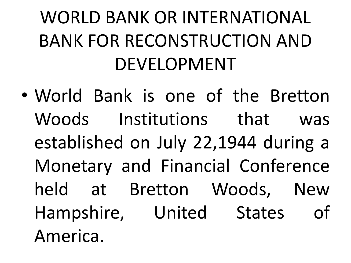## WORLD BANK OR INTERNATIONAL BANK FOR RECONSTRUCTION AND DEVELOPMENT

• World Bank is one of the Bretton Woods Institutions that was established on July 22,1944 during a Monetary and Financial Conference held at Bretton Woods, New Hampshire, United States of America.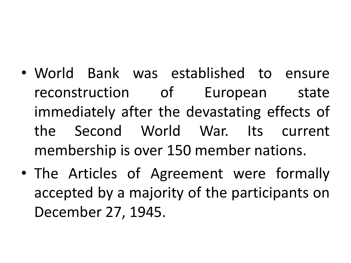- World Bank was established to ensure reconstruction of European state immediately after the devastating effects of the Second World War. Its current membership is over 150 member nations.
- The Articles of Agreement were formally accepted by a majority of the participants on December 27, 1945.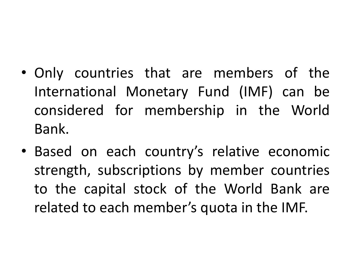- Only countries that are members of the International Monetary Fund (IMF) can be considered for membership in the World Bank.
- Based on each country's relative economic strength, subscriptions by member countries to the capital stock of the World Bank are related to each member's quota in the IMF.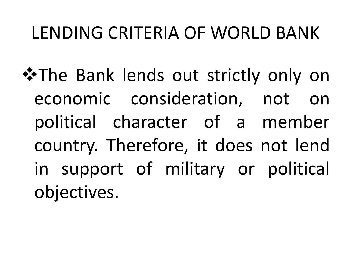#### LENDING CRITERIA OF WORLD BANK

**\*The Bank lends out strictly only on** economic consideration, not on political character of a member country. Therefore, it does not lend in support of military or political objectives.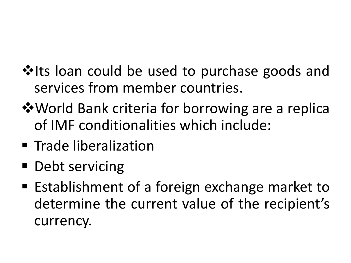- **V**Its loan could be used to purchase goods and services from member countries.
- **V** World Bank criteria for borrowing are a replica of IMF conditionalities which include:
- Trade liberalization
- Debt servicing
- Establishment of a foreign exchange market to determine the current value of the recipient's currency.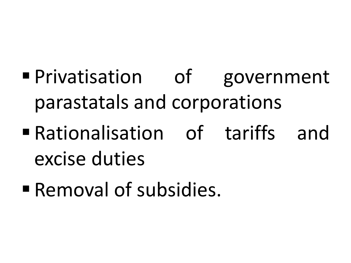- § Privatisation of government parastatals and corporations
- § Rationalisation of tariffs and excise duties
- **Removal of subsidies.**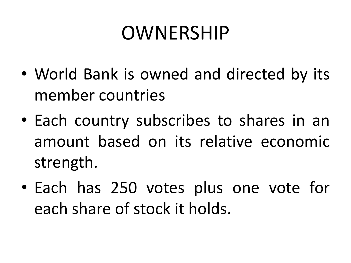## OWNERSHIP

- World Bank is owned and directed by its member countries
- Each country subscribes to shares in an amount based on its relative economic strength.
- Each has 250 votes plus one vote for each share of stock it holds.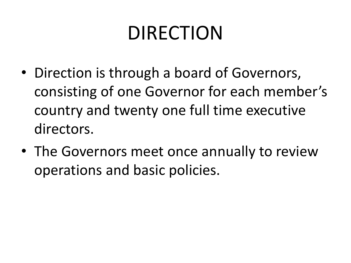## DIRECTION

- Direction is through a board of Governors, consisting of one Governor for each member's country and twenty one full time executive directors.
- The Governors meet once annually to review operations and basic policies.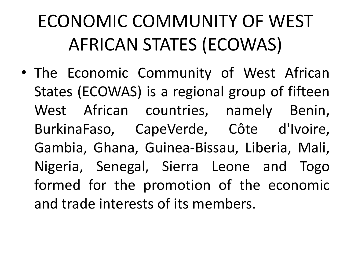# ECONOMIC COMMUNITY OF WEST AFRICAN STATES (ECOWAS)

• The Economic Community of West African States (ECOWAS) is a regional group of fifteen West African countries, namely Benin, BurkinaFaso, CapeVerde, Côte d'Ivoire, Gambia, Ghana, Guinea-Bissau, Liberia, Mali, Nigeria, Senegal, Sierra Leone and Togo formed for the promotion of the economic and trade interests of its members.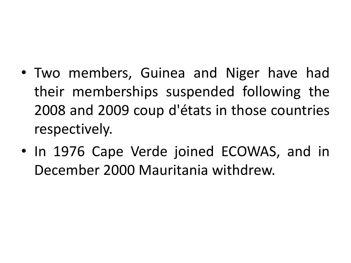- Two members, Guinea and Niger have had their memberships suspended following the 2008 and 2009 coup d'états in those countries respectively.
- In 1976 Cape Verde joined ECOWAS, and in December 2000 Mauritania withdrew.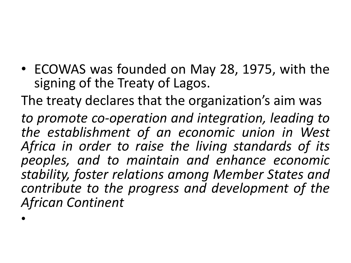• ECOWAS was founded on May 28, 1975, with the signing of the Treaty of Lagos.

The treaty declares that the organization's aim was

*to promote co-operation and integration, leading to the establishment of an economic union in West Africa in order to raise the living standards of its peoples, and to maintain and enhance economic stability, foster relations among Member States and contribute to the progress and development of the African Continent*

•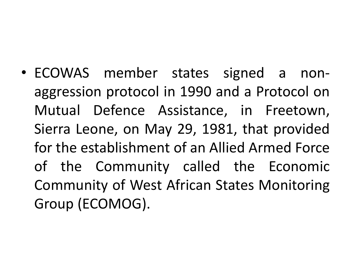• ECOWAS member states signed a nonaggression protocol in 1990 and a Protocol on Mutual Defence Assistance, in Freetown, Sierra Leone, on May 29, 1981, that provided for the establishment of an Allied Armed Force of the Community called the Economic Community of West African States Monitoring Group (ECOMOG).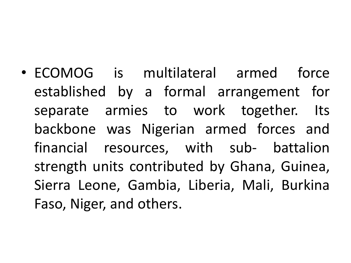• ECOMOG is multilateral armed force established by a formal arrangement for separate armies to work together. Its backbone was Nigerian armed forces and financial resources, with sub- battalion strength units contributed by Ghana, Guinea, Sierra Leone, Gambia, Liberia, Mali, Burkina Faso, Niger, and others.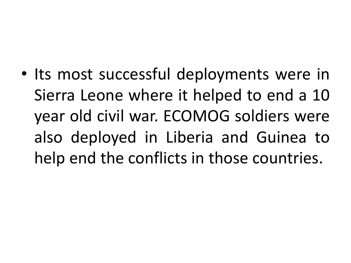• Its most successful deployments were in Sierra Leone where it helped to end a 10 year old civil war. ECOMOG soldiers were also deployed in Liberia and Guinea to help end the conflicts in those countries.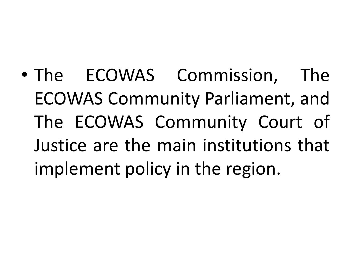• The ECOWAS Commission, The ECOWAS Community Parliament, and The ECOWAS Community Court of Justice are the main institutions that implement policy in the region.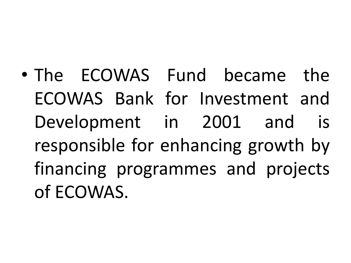• The ECOWAS Fund became the ECOWAS Bank for Investment and Development in 2001 and is responsible for enhancing growth by financing programmes and projects of ECOWAS.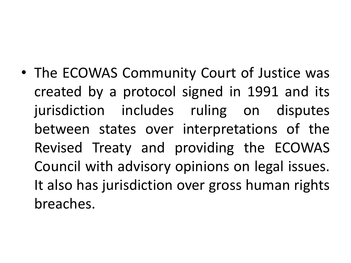• The ECOWAS Community Court of Justice was created by a protocol signed in 1991 and its jurisdiction includes ruling on disputes between states over interpretations of the Revised Treaty and providing the ECOWAS Council with advisory opinions on legal issues. It also has jurisdiction over gross human rights breaches.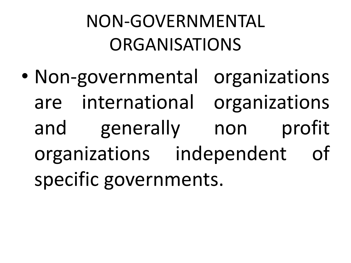# NON-GOVERNMENTAL ORGANISATIONS

• Non-governmental organizations are international organizations and generally non profit organizations independent of specific governments.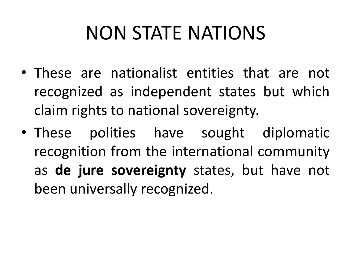# NON STATE NATIONS

- These are nationalist entities that are not recognized as independent states but which claim rights to national sovereignty.
- These polities have sought diplomatic recognition from the international community as **de jure sovereignty** states, but have not been universally recognized.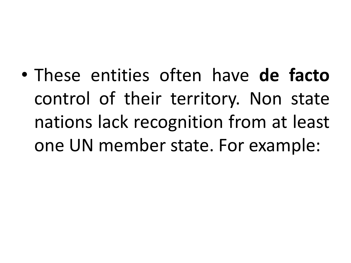• These entities often have **de facto** control of their territory. Non state nations lack recognition from at least one UN member state. For example: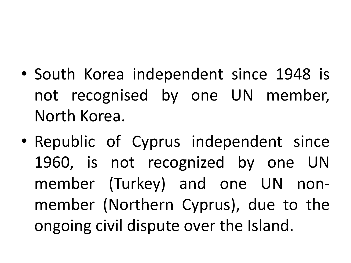- South Korea independent since 1948 is not recognised by one UN member, North Korea.
- Republic of Cyprus independent since 1960, is not recognized by one UN member (Turkey) and one UN nonmember (Northern Cyprus), due to the ongoing civil dispute over the Island.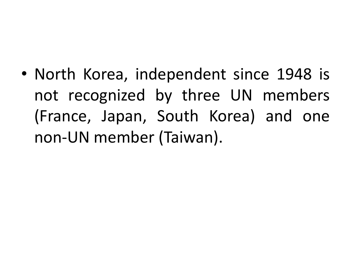• North Korea, independent since 1948 is not recognized by three UN members (France, Japan, South Korea) and one non-UN member (Taiwan).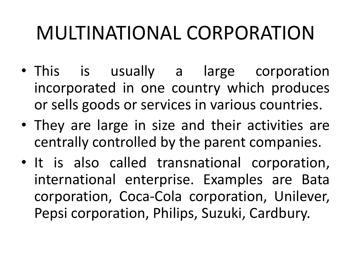# MULTINATIONAL CORPORATION

- This is usually a large corporation incorporated in one country which produces or sells goods or services in various countries.
- They are large in size and their activities are centrally controlled by the parent companies.
- It is also called transnational corporation, international enterprise. Examples are Bata corporation, Coca-Cola corporation, Unilever, Pepsi corporation, Philips, Suzuki, Cardbury.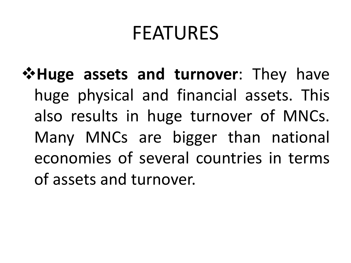### FEATURES

**External Figure V** and **turnover**: They have huge physical and financial assets. This also results in huge turnover of MNCs. Many MNCs are bigger than national economies of several countries in terms of assets and turnover.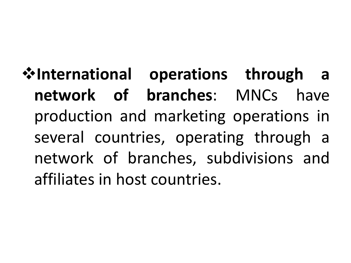$\cdot$ **forational operations through a network of branches**: MNCs have production and marketing operations in several countries, operating through a network of branches, subdivisions and affiliates in host countries.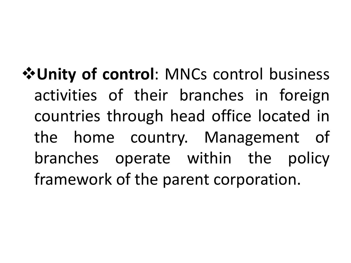v**Unity of control**: MNCs control business activities of their branches in foreign countries through head office located in the home country. Management of branches operate within the policy framework of the parent corporation.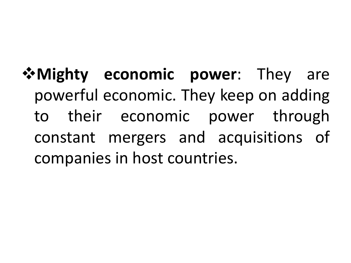$\mathbf{\hat{w}}$  **Mighty economic power**: They are powerful economic. They keep on adding to their economic power through constant mergers and acquisitions of companies in host countries.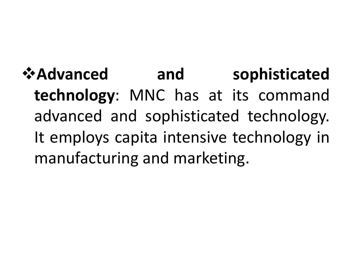*<u><b>*  $^{\circ}$  Advanced and sophisticated</u> **technology**: MNC has at its command advanced and sophisticated technology. It employs capita intensive technology in manufacturing and marketing.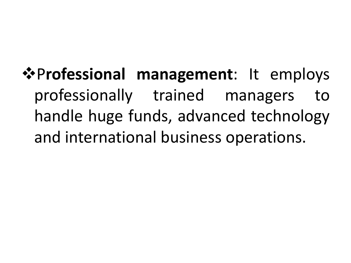#### $\cdot$ Professional management: It employs professionally trained managers to handle huge funds, advanced technology and international business operations.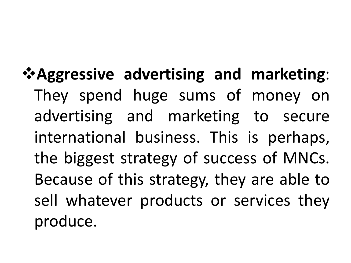#### v**Aggressive advertising and marketing**: They spend huge sums of money on advertising and marketing to secure international business. This is perhaps, the biggest strategy of success of MNCs. Because of this strategy, they are able to sell whatever products or services they produce.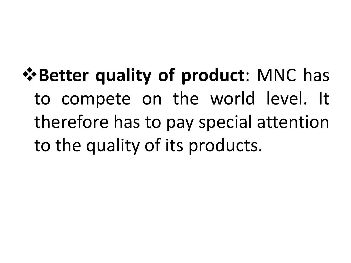v**Better quality of product**: MNC has to compete on the world level. It therefore has to pay special attention to the quality of its products.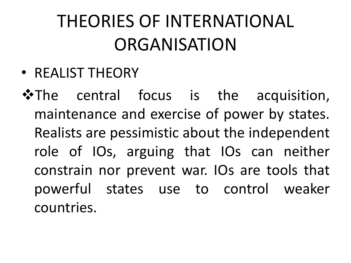## THEORIES OF INTERNATIONAL **ORGANISATION**

• REALIST THEORY

\*The central focus is the acquisition, maintenance and exercise of power by states. Realists are pessimistic about the independent role of IOs, arguing that IOs can neither constrain nor prevent war. IOs are tools that powerful states use to control weaker countries.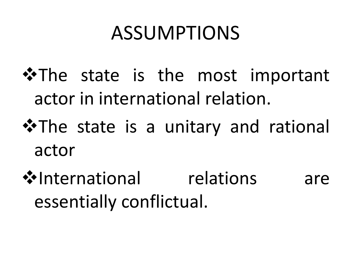# ASSUMPTIONS

- **\*The state is the most important** actor in international relation.
- **\*The state is a unitary and rational** actor
- **V**•International relations are essentially conflictual.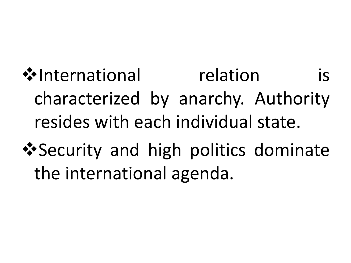vInternational relation is characterized by anarchy. Authority resides with each individual state.

**\*** Security and high politics dominate the international agenda.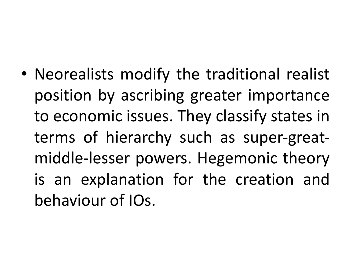• Neorealists modify the traditional realist position by ascribing greater importance to economic issues. They classify states in terms of hierarchy such as super-greatmiddle-lesser powers. Hegemonic theory is an explanation for the creation and behaviour of IOs.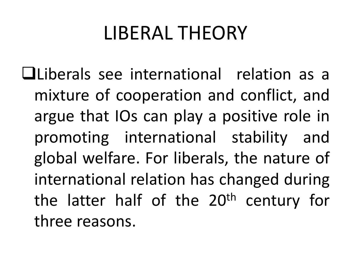## LIBERAL THEORY

qLiberals see international relation as a mixture of cooperation and conflict, and argue that IOs can play a positive role in promoting international stability and global welfare. For liberals, the nature of international relation has changed during the latter half of the 20<sup>th</sup> century for three reasons.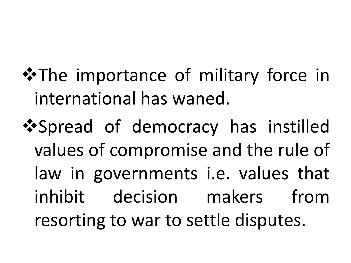- **\*The importance of military force in** international has waned.
- **\*** Spread of democracy has instilled values of compromise and the rule of law in governments i.e. values that inhibit decision makers from resorting to war to settle disputes.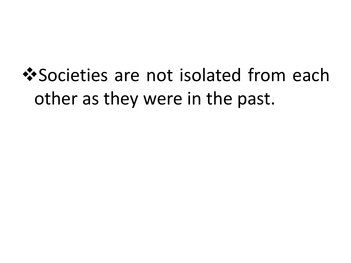# **V** Societies are not isolated from each other as they were in the past.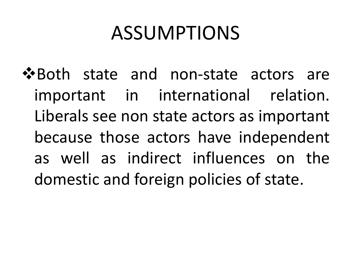# ASSUMPTIONS

❖ Both state and non-state actors are important in international relation. Liberals see non state actors as important because those actors have independent as well as indirect influences on the domestic and foreign policies of state.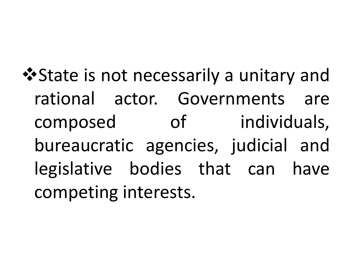**\*** State is not necessarily a unitary and rational actor. Governments are composed of individuals, bureaucratic agencies, judicial and legislative bodies that can have competing interests.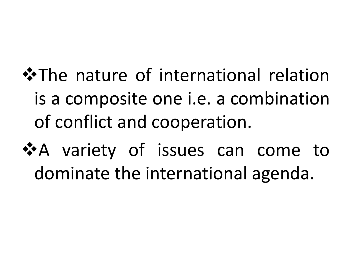**\*The nature of international relation** is a composite one i.e. a combination of conflict and cooperation.

\*A variety of issues can come to dominate the international agenda.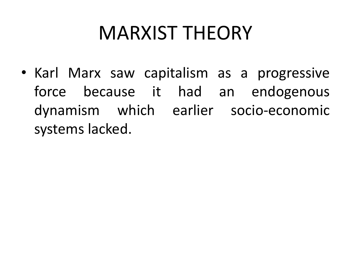# MARXIST THEORY

• Karl Marx saw capitalism as a progressive force because it had an endogenous dynamism which earlier socio-economic systems lacked.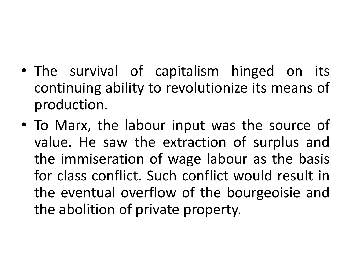- The survival of capitalism hinged on its continuing ability to revolutionize its means of production.
- To Marx, the labour input was the source of value. He saw the extraction of surplus and the immiseration of wage labour as the basis for class conflict. Such conflict would result in the eventual overflow of the bourgeoisie and the abolition of private property.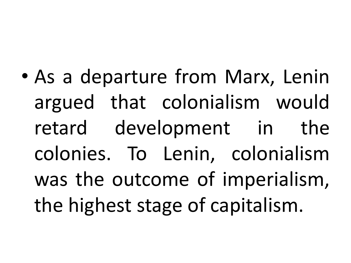• As a departure from Marx, Lenin argued that colonialism would retard development in the colonies. To Lenin, colonialism was the outcome of imperialism, the highest stage of capitalism.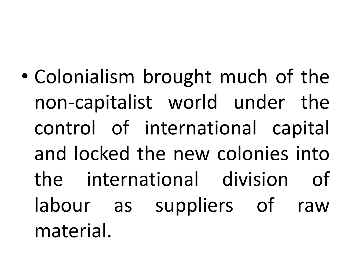• Colonialism brought much of the non-capitalist world under the control of international capital and locked the new colonies into the international division of labour as suppliers of raw material.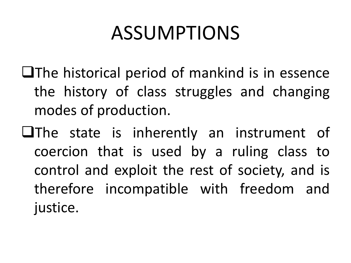## ASSUMPTIONS

- $\Box$ The historical period of mankind is in essence the history of class struggles and changing modes of production.
- $\Box$ The state is inherently an instrument of coercion that is used by a ruling class to control and exploit the rest of society, and is therefore incompatible with freedom and justice.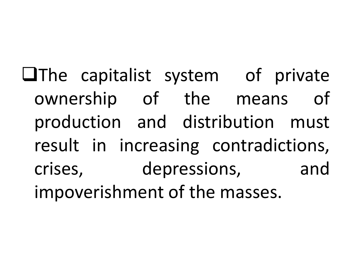$\Box$ The capitalist system of private ownership of the means of production and distribution must result in increasing contradictions, crises, depressions, and impoverishment of the masses.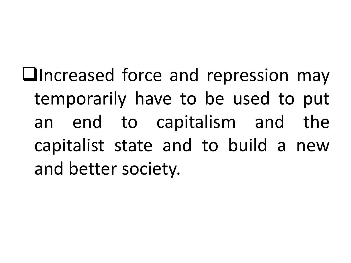**Lincreased force and repression may** temporarily have to be used to put an end to capitalism and the capitalist state and to build a new and better society.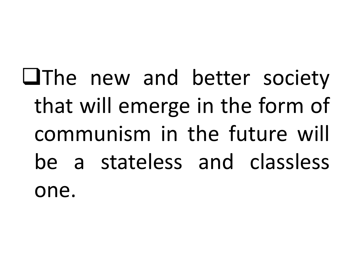**LIThe new and better society** that will emerge in the form of communism in the future will be a stateless and classless one.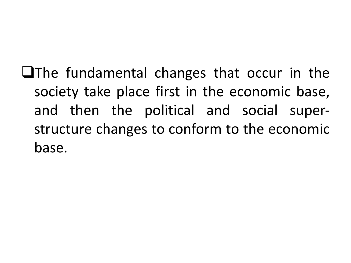$\Box$ The fundamental changes that occur in the society take place first in the economic base, and then the political and social superstructure changes to conform to the economic base.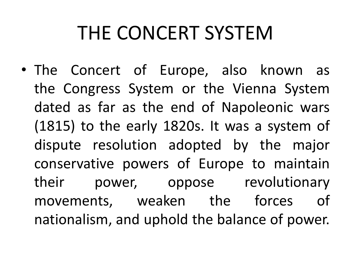## THE CONCERT SYSTEM

• The Concert of Europe, also known as the Congress System or the Vienna System dated as far as the end of Napoleonic wars (1815) to the early 1820s. It was a system of dispute resolution adopted by the major conservative powers of Europe to maintain their power, oppose revolutionary movements, weaken the forces of nationalism, and uphold the balance of power.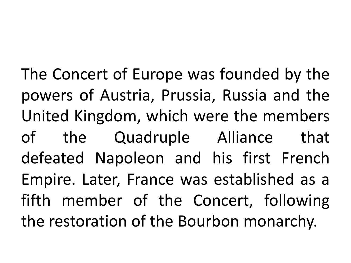The Concert of Europe was founded by the powers of Austria, Prussia, Russia and the United Kingdom, which were the members of the Quadruple Alliance that defeated Napoleon and his first French Empire. Later, France was established as a fifth member of the Concert, following the restoration of the Bourbon monarchy.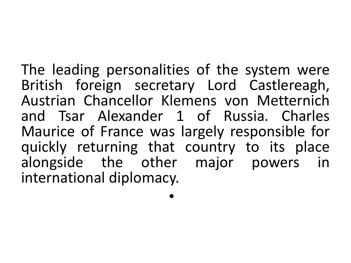The leading personalities of the system were British foreign secretary Lord Castlereagh, Austrian Chancellor Klemens von Metternich and Tsar Alexander 1 of Russia. Charles Maurice of France was largely responsible for quickly returning that country to its place alongside the other major powers in international diplomacy.

•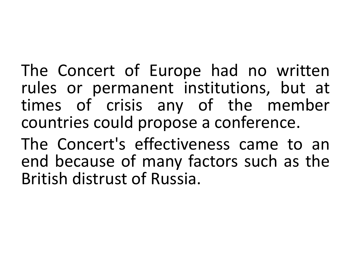The Concert of Europe had no written rules or permanent institutions, but at times of crisis any of the member countries could propose a conference.

The Concert's effectiveness came to an end because of many factors such as the British distrust of Russia.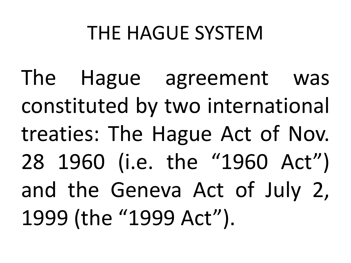## THE HAGUE SYSTEM

The Hague agreement was constituted by two international treaties: The Hague Act of Nov. 28 1960 (i.e. the "1960 Act") and the Geneva Act of July 2, 1999 (the "1999 Act").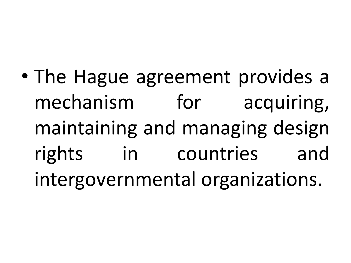• The Hague agreement provides a mechanism for acquiring, maintaining and managing design rights in countries and intergovernmental organizations.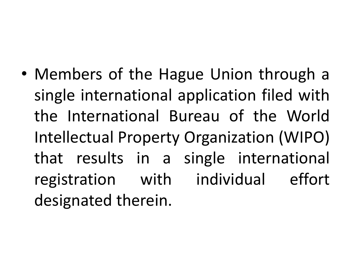• Members of the Hague Union through a single international application filed with the International Bureau of the World Intellectual Property Organization (WIPO) that results in a single international registration with individual effort designated therein.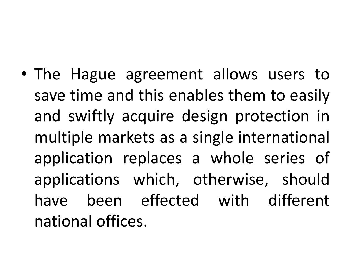• The Hague agreement allows users to save time and this enables them to easily and swiftly acquire design protection in multiple markets as a single international application replaces a whole series of applications which, otherwise, should have been effected with different national offices.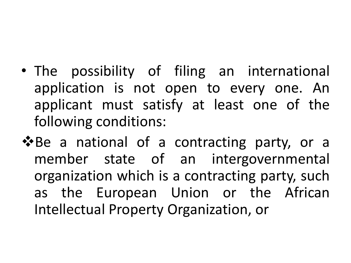- The possibility of filing an international application is not open to every one. An applicant must satisfy at least one of the following conditions:
- **V**Be a national of a contracting party, or a member state of an intergovernmental organization which is a contracting party, such as the European Union or the African Intellectual Property Organization, or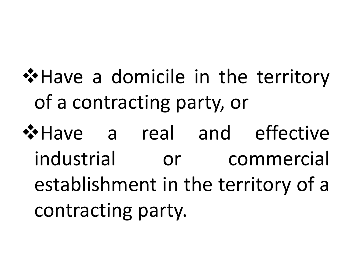- \*Have a domicile in the territory of a contracting party, or
- **V**+Have a real and effective industrial or commercial establishment in the territory of a contracting party.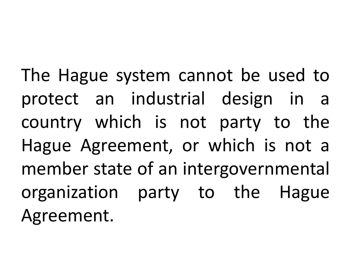The Hague system cannot be used to protect an industrial design in a country which is not party to the Hague Agreement, or which is not a member state of an intergovernmental organization party to the Hague Agreement.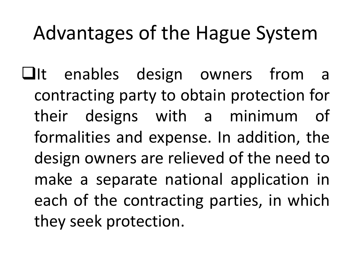## Advantages of the Hague System

 $\Box$ It enables design owners from a contracting party to obtain protection for their designs with a minimum of formalities and expense. In addition, the design owners are relieved of the need to make a separate national application in each of the contracting parties, in which they seek protection.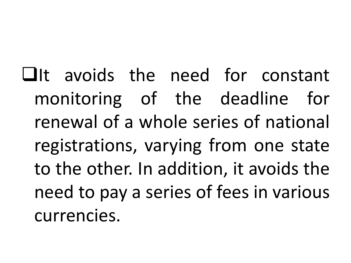$\Box$ It avoids the need for constant monitoring of the deadline for renewal of a whole series of national registrations, varying from one state to the other. In addition, it avoids the need to pay a series of fees in various currencies.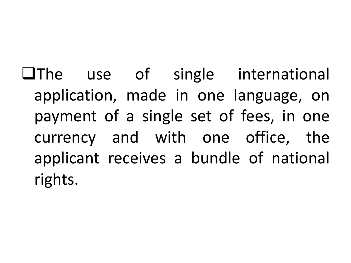**QThe use of single international** application, made in one language, on payment of a single set of fees, in one currency and with one office, the applicant receives a bundle of national rights.